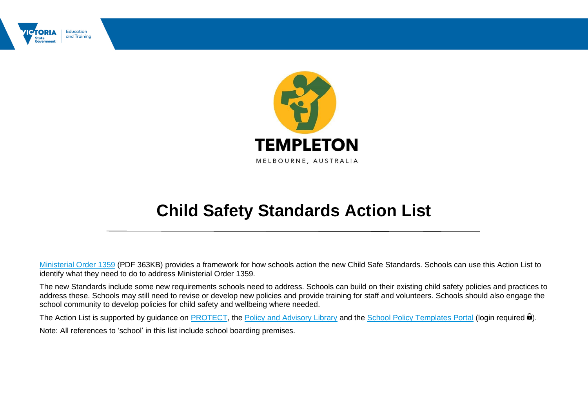



## **Child Safety Standards Action List**

[Ministerial Order 1359](https://www.education.vic.gov.au/Documents/about/programs/health/protect/Ministerial_Order.pdf) (PDF 363KB) provides a framework for how schools action the new Child Safe Standards. Schools can use this Action List to identify what they need to do to address Ministerial Order 1359.

The new Standards include some new requirements schools need to address. Schools can build on their existing child safety policies and practices to address these. Schools may still need to revise or develop new policies and provide training for staff and volunteers. Schools should also engage the school community to develop policies for child safety and wellbeing where needed.

The Action List is supported by guidance on **PROTECT**, the [Policy and Advisory Library](https://www2.education.vic.gov.au/pal) and the [School Policy Templates Portal](https://www2.education.vic.gov.au/pal/school-policy-templates-portal) (login required  $\mathbf{\Theta}$ ). Note: All references to 'school' in this list include school boarding premises.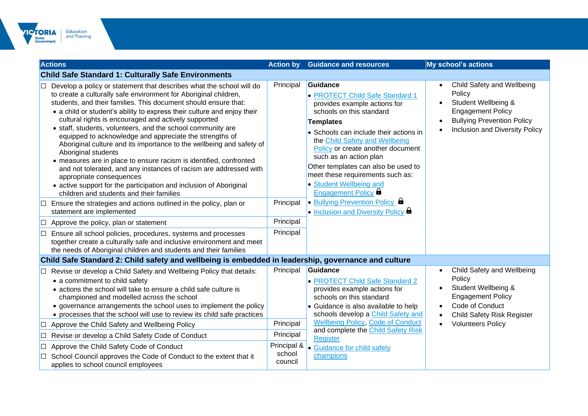

| <b>Actions</b>                                                                                                                                                                                                                                                                                                                                                                                                                                                                                                                                                                                                                                                                                                                                                                                                                                                                                                                                                                                                        | <b>Action by</b>                    | <b>Guidance and resources</b>                                                                                                                                                                                                                                                                                                                                                                                                                                                           | <b>My school's actions</b>                                                                                                                                                                            |
|-----------------------------------------------------------------------------------------------------------------------------------------------------------------------------------------------------------------------------------------------------------------------------------------------------------------------------------------------------------------------------------------------------------------------------------------------------------------------------------------------------------------------------------------------------------------------------------------------------------------------------------------------------------------------------------------------------------------------------------------------------------------------------------------------------------------------------------------------------------------------------------------------------------------------------------------------------------------------------------------------------------------------|-------------------------------------|-----------------------------------------------------------------------------------------------------------------------------------------------------------------------------------------------------------------------------------------------------------------------------------------------------------------------------------------------------------------------------------------------------------------------------------------------------------------------------------------|-------------------------------------------------------------------------------------------------------------------------------------------------------------------------------------------------------|
| <b>Child Safe Standard 1: Culturally Safe Environments</b>                                                                                                                                                                                                                                                                                                                                                                                                                                                                                                                                                                                                                                                                                                                                                                                                                                                                                                                                                            |                                     |                                                                                                                                                                                                                                                                                                                                                                                                                                                                                         |                                                                                                                                                                                                       |
| Develop a policy or statement that describes what the school will do<br>to create a culturally safe environment for Aboriginal children,<br>students, and their families. This document should ensure that:<br>• a child or student's ability to express their culture and enjoy their<br>cultural rights is encouraged and actively supported<br>• staff, students, volunteers, and the school community are<br>equipped to acknowledge and appreciate the strengths of<br>Aboriginal culture and its importance to the wellbeing and safety of<br>Aboriginal students<br>• measures are in place to ensure racism is identified, confronted<br>and not tolerated, and any instances of racism are addressed with<br>appropriate consequences<br>• active support for the participation and inclusion of Aboriginal<br>children and students and their families<br>Ensure the strategies and actions outlined in the policy, plan or<br>ப<br>statement are implemented<br>Approve the policy, plan or statement<br>⊔ | Principal<br>Principal<br>Principal | Guidance<br>• PROTECT Child Safe Standard 1<br>provides example actions for<br>schools on this standard<br>Templates<br>• Schools can include their actions in<br>the Child Safety and Wellbeing<br>Policy or create another document<br>such as an action plan<br>Other templates can also be used to<br>meet these requirements such as:<br>• Student Wellbeing and<br><b>Engagement Policy</b><br>$\bullet$ Bullying Prevention Policy $\bullet$<br>. Inclusion and Diversity Policy | Child Safety and Wellbeing<br>Policy<br>Student Wellbeing &<br><b>Engagement Policy</b><br><b>Bullying Prevention Policy</b><br>Inclusion and Diversity Policy                                        |
| Ensure all school policies, procedures, systems and processes<br>⊔<br>together create a culturally safe and inclusive environment and meet<br>the needs of Aboriginal children and students and their families                                                                                                                                                                                                                                                                                                                                                                                                                                                                                                                                                                                                                                                                                                                                                                                                        | Principal                           |                                                                                                                                                                                                                                                                                                                                                                                                                                                                                         |                                                                                                                                                                                                       |
| Child Safe Standard 2: Child safety and wellbeing is embedded in leadership, governance and culture                                                                                                                                                                                                                                                                                                                                                                                                                                                                                                                                                                                                                                                                                                                                                                                                                                                                                                                   |                                     |                                                                                                                                                                                                                                                                                                                                                                                                                                                                                         |                                                                                                                                                                                                       |
| □ Revise or develop a Child Safety and Wellbeing Policy that details:<br>• a commitment to child safety<br>• actions the school will take to ensure a child safe culture is<br>championed and modelled across the school<br>• governance arrangements the school uses to implement the policy<br>• processes that the school will use to review its child safe practices<br>Approve the Child Safety and Wellbeing Policy                                                                                                                                                                                                                                                                                                                                                                                                                                                                                                                                                                                             | Principal<br>Principal              | Guidance<br>• PROTECT Child Safe Standard 2<br>provides example actions for<br>schools on this standard<br>• Guidance is also available to help<br>schools develop a Child Safety and<br><b>Wellbeing Policy, Code of Conduct</b>                                                                                                                                                                                                                                                       | Child Safety and Wellbeing<br>Policy<br>Student Wellbeing &<br><b>Engagement Policy</b><br>Code of Conduct<br>$\bullet$<br><b>Child Safety Risk Register</b><br>$\bullet$<br><b>Volunteers Policy</b> |
| Revise or develop a Child Safety Code of Conduct<br>$\Box$                                                                                                                                                                                                                                                                                                                                                                                                                                                                                                                                                                                                                                                                                                                                                                                                                                                                                                                                                            | Principal                           | and complete the Child Safety Risk                                                                                                                                                                                                                                                                                                                                                                                                                                                      |                                                                                                                                                                                                       |
| Approve the Child Safety Code of Conduct<br>⊔<br>School Council approves the Code of Conduct to the extent that it<br>applies to school council employees                                                                                                                                                                                                                                                                                                                                                                                                                                                                                                                                                                                                                                                                                                                                                                                                                                                             | school<br>council                   | Register<br>Principal &<br>• Guidance for child safety<br>champions                                                                                                                                                                                                                                                                                                                                                                                                                     |                                                                                                                                                                                                       |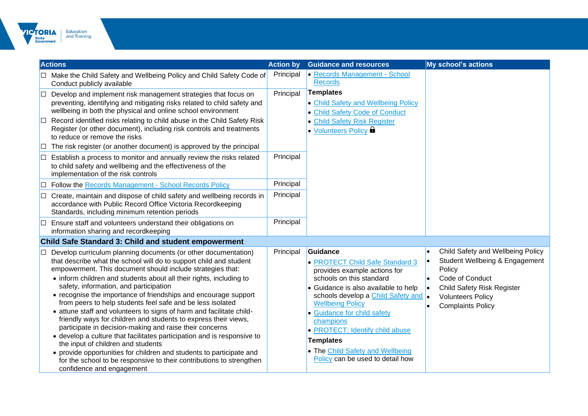

|              | <b>Actions</b>                                                                                                                                                                                                                                                                                                                                                                                                                                                                                                                                                                                                                                                                                                                                                                                                                                                                                                                                           | <b>Action by</b> | <b>Guidance and resources</b>                                                                                                                                                                                                                                                                                                                                                               | <b>My school's actions</b>                                                                                                                                                                    |
|--------------|----------------------------------------------------------------------------------------------------------------------------------------------------------------------------------------------------------------------------------------------------------------------------------------------------------------------------------------------------------------------------------------------------------------------------------------------------------------------------------------------------------------------------------------------------------------------------------------------------------------------------------------------------------------------------------------------------------------------------------------------------------------------------------------------------------------------------------------------------------------------------------------------------------------------------------------------------------|------------------|---------------------------------------------------------------------------------------------------------------------------------------------------------------------------------------------------------------------------------------------------------------------------------------------------------------------------------------------------------------------------------------------|-----------------------------------------------------------------------------------------------------------------------------------------------------------------------------------------------|
|              | □ Make the Child Safety and Wellbeing Policy and Child Safety Code of<br>Conduct publicly available                                                                                                                                                                                                                                                                                                                                                                                                                                                                                                                                                                                                                                                                                                                                                                                                                                                      | Principal        | • Records Management - School<br><b>Records</b>                                                                                                                                                                                                                                                                                                                                             |                                                                                                                                                                                               |
| $\Box$<br>IЦ | Develop and implement risk management strategies that focus on<br>preventing, identifying and mitigating risks related to child safety and<br>wellbeing in both the physical and online school environment<br>Record identified risks relating to child abuse in the Child Safety Risk<br>Register (or other document), including risk controls and treatments<br>to reduce or remove the risks<br>The risk register (or another document) is approved by the principal                                                                                                                                                                                                                                                                                                                                                                                                                                                                                  | Principal        | <b>Templates</b><br>• Child Safety and Wellbeing Policy<br><b>.</b> Child Safety Code of Conduct<br><b>• Child Safety Risk Register</b><br><b>• Volunteers Policy &amp;</b>                                                                                                                                                                                                                 |                                                                                                                                                                                               |
|              | Establish a process to monitor and annually review the risks related<br>to child safety and wellbeing and the effectiveness of the<br>implementation of the risk controls                                                                                                                                                                                                                                                                                                                                                                                                                                                                                                                                                                                                                                                                                                                                                                                | Principal        |                                                                                                                                                                                                                                                                                                                                                                                             |                                                                                                                                                                                               |
|              | <b>Follow the Records Management - School Records Policy</b>                                                                                                                                                                                                                                                                                                                                                                                                                                                                                                                                                                                                                                                                                                                                                                                                                                                                                             | Principal        |                                                                                                                                                                                                                                                                                                                                                                                             |                                                                                                                                                                                               |
|              | $\Box$ Create, maintain and dispose of child safety and wellbeing records in<br>accordance with Public Record Office Victoria Recordkeeping<br>Standards, including minimum retention periods                                                                                                                                                                                                                                                                                                                                                                                                                                                                                                                                                                                                                                                                                                                                                            | Principal        |                                                                                                                                                                                                                                                                                                                                                                                             |                                                                                                                                                                                               |
| ⊡            | Ensure staff and volunteers understand their obligations on<br>information sharing and recordkeeping                                                                                                                                                                                                                                                                                                                                                                                                                                                                                                                                                                                                                                                                                                                                                                                                                                                     | Principal        |                                                                                                                                                                                                                                                                                                                                                                                             |                                                                                                                                                                                               |
|              | <b>Child Safe Standard 3: Child and student empowerment</b>                                                                                                                                                                                                                                                                                                                                                                                                                                                                                                                                                                                                                                                                                                                                                                                                                                                                                              |                  |                                                                                                                                                                                                                                                                                                                                                                                             |                                                                                                                                                                                               |
|              | Develop curriculum planning documents (or other documentation)<br>that describe what the school will do to support child and student<br>empowerment. This document should include strategies that:<br>• inform children and students about all their rights, including to<br>safety, information, and participation<br>• recognise the importance of friendships and encourage support<br>from peers to help students feel safe and be less isolated<br>• attune staff and volunteers to signs of harm and facilitate child-<br>friendly ways for children and students to express their views,<br>participate in decision-making and raise their concerns<br>• develop a culture that facilitates participation and is responsive to<br>the input of children and students<br>• provide opportunities for children and students to participate and<br>for the school to be responsive to their contributions to strengthen<br>confidence and engagement | Principal        | Guidance<br>• PROTECT Child Safe Standard 3<br>provides example actions for<br>schools on this standard<br>• Guidance is also available to help<br>schools develop a Child Safety and<br><b>Wellbeing Policy</b><br>• Guidance for child safety<br>champions<br>• PROTECT: Identify child abuse<br><b>Templates</b><br>• The Child Safety and Wellbeing<br>Policy can be used to detail how | Child Safety and Wellbeing Policy<br>Student Wellbeing & Engagement<br>Policy<br>Code of Conduct<br><b>Child Safety Risk Register</b><br><b>Volunteers Policy</b><br><b>Complaints Policy</b> |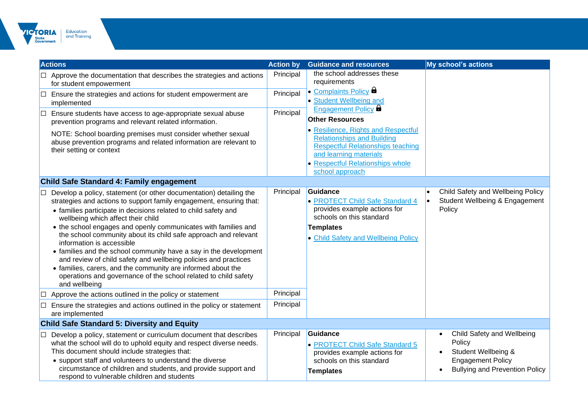

|        | <b>Actions</b>                                                                                                                                                                                                                                                                                                                                                                                                                                                                                                                                                                                                                                                                                                                                                              | <b>Action by</b>       | <b>Guidance and resources</b>                                                                                                                                                                         | <b>My school's actions</b>                                                                                                       |
|--------|-----------------------------------------------------------------------------------------------------------------------------------------------------------------------------------------------------------------------------------------------------------------------------------------------------------------------------------------------------------------------------------------------------------------------------------------------------------------------------------------------------------------------------------------------------------------------------------------------------------------------------------------------------------------------------------------------------------------------------------------------------------------------------|------------------------|-------------------------------------------------------------------------------------------------------------------------------------------------------------------------------------------------------|----------------------------------------------------------------------------------------------------------------------------------|
|        | $\Box$ Approve the documentation that describes the strategies and actions<br>for student empowerment                                                                                                                                                                                                                                                                                                                                                                                                                                                                                                                                                                                                                                                                       | Principal              | the school addresses these<br>requirements                                                                                                                                                            |                                                                                                                                  |
|        | $\Box$ Ensure the strategies and actions for student empowerment are<br>implemented                                                                                                                                                                                                                                                                                                                                                                                                                                                                                                                                                                                                                                                                                         | Principal              | • Complaints Policy <b>b</b><br>• Student Wellbeing and                                                                                                                                               |                                                                                                                                  |
| $\Box$ | Ensure students have access to age-appropriate sexual abuse<br>prevention programs and relevant related information.                                                                                                                                                                                                                                                                                                                                                                                                                                                                                                                                                                                                                                                        | Principal              | Engagement Policy <b>a</b><br><b>Other Resources</b>                                                                                                                                                  |                                                                                                                                  |
|        | NOTE: School boarding premises must consider whether sexual<br>abuse prevention programs and related information are relevant to<br>their setting or context                                                                                                                                                                                                                                                                                                                                                                                                                                                                                                                                                                                                                |                        | • Resilience, Rights and Respectful<br><b>Relationships and Building</b><br><b>Respectful Relationships teaching</b><br>and learning materials<br>• Respectful Relationships whole<br>school approach |                                                                                                                                  |
|        | Child Safe Standard 4: Family engagement                                                                                                                                                                                                                                                                                                                                                                                                                                                                                                                                                                                                                                                                                                                                    |                        |                                                                                                                                                                                                       |                                                                                                                                  |
|        | Develop a policy, statement (or other documentation) detailing the<br>strategies and actions to support family engagement, ensuring that:<br>• families participate in decisions related to child safety and<br>wellbeing which affect their child<br>• the school engages and openly communicates with families and<br>the school community about its child safe approach and relevant<br>information is accessible<br>• families and the school community have a say in the development<br>and review of child safety and wellbeing policies and practices<br>• families, carers, and the community are informed about the<br>operations and governance of the school related to child safety<br>and wellbeing<br>Approve the actions outlined in the policy or statement | Principal<br>Principal | Guidance<br>• PROTECT Child Safe Standard 4<br>provides example actions for<br>schools on this standard<br><b>Templates</b><br>• Child Safety and Wellbeing Policy                                    | Child Safety and Wellbeing Policy<br>Student Wellbeing & Engagement<br>Policy                                                    |
| IП     | Ensure the strategies and actions outlined in the policy or statement<br>are implemented                                                                                                                                                                                                                                                                                                                                                                                                                                                                                                                                                                                                                                                                                    | Principal              |                                                                                                                                                                                                       |                                                                                                                                  |
|        | <b>Child Safe Standard 5: Diversity and Equity</b>                                                                                                                                                                                                                                                                                                                                                                                                                                                                                                                                                                                                                                                                                                                          |                        |                                                                                                                                                                                                       |                                                                                                                                  |
|        | Develop a policy, statement or curriculum document that describes<br>what the school will do to uphold equity and respect diverse needs.<br>This document should include strategies that:<br>• support staff and volunteers to understand the diverse<br>circumstance of children and students, and provide support and<br>respond to vulnerable children and students                                                                                                                                                                                                                                                                                                                                                                                                      | Principal              | Guidance<br>• PROTECT Child Safe Standard 5<br>provides example actions for<br>schools on this standard<br><b>Templates</b>                                                                           | Child Safety and Wellbeing<br>Policy<br>Student Wellbeing &<br><b>Engagement Policy</b><br><b>Bullying and Prevention Policy</b> |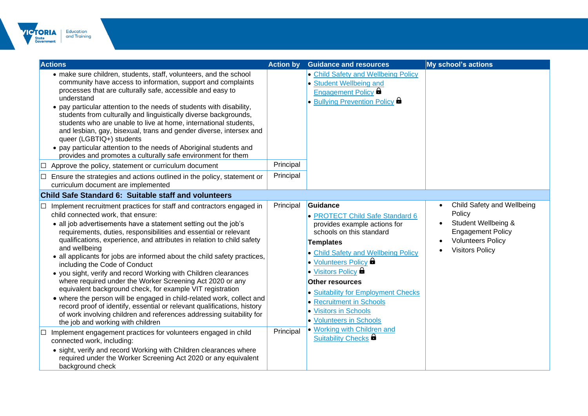

| <b>Actions</b>                                                                                                                                                                                                                                                                                                                                                                                                                                                                                                                                                                                                                                                                                                                                                                                                                                                                                                               | <b>Action by</b> | <b>Guidance and resources</b>                                                                                                                                                                                                                                                                                                                                                     | <b>My school's actions</b>                                                                                                                    |
|------------------------------------------------------------------------------------------------------------------------------------------------------------------------------------------------------------------------------------------------------------------------------------------------------------------------------------------------------------------------------------------------------------------------------------------------------------------------------------------------------------------------------------------------------------------------------------------------------------------------------------------------------------------------------------------------------------------------------------------------------------------------------------------------------------------------------------------------------------------------------------------------------------------------------|------------------|-----------------------------------------------------------------------------------------------------------------------------------------------------------------------------------------------------------------------------------------------------------------------------------------------------------------------------------------------------------------------------------|-----------------------------------------------------------------------------------------------------------------------------------------------|
| • make sure children, students, staff, volunteers, and the school<br>community have access to information, support and complaints<br>processes that are culturally safe, accessible and easy to<br>understand<br>• pay particular attention to the needs of students with disability,<br>students from culturally and linguistically diverse backgrounds,<br>students who are unable to live at home, international students,<br>and lesbian, gay, bisexual, trans and gender diverse, intersex and<br>queer (LGBTIQ+) students<br>• pay particular attention to the needs of Aboriginal students and<br>provides and promotes a culturally safe environment for them                                                                                                                                                                                                                                                        |                  | • Child Safety and Wellbeing Policy<br>• Student Wellbeing and<br>Engagement Policy <b>a</b><br>• Bullying Prevention Policy <b>B</b>                                                                                                                                                                                                                                             |                                                                                                                                               |
| Approve the policy, statement or curriculum document<br>IО                                                                                                                                                                                                                                                                                                                                                                                                                                                                                                                                                                                                                                                                                                                                                                                                                                                                   | Principal        |                                                                                                                                                                                                                                                                                                                                                                                   |                                                                                                                                               |
| $\Box$ Ensure the strategies and actions outlined in the policy, statement or<br>curriculum document are implemented                                                                                                                                                                                                                                                                                                                                                                                                                                                                                                                                                                                                                                                                                                                                                                                                         | Principal        |                                                                                                                                                                                                                                                                                                                                                                                   |                                                                                                                                               |
| Child Safe Standard 6: Suitable staff and volunteers                                                                                                                                                                                                                                                                                                                                                                                                                                                                                                                                                                                                                                                                                                                                                                                                                                                                         |                  |                                                                                                                                                                                                                                                                                                                                                                                   |                                                                                                                                               |
| Implement recruitment practices for staff and contractors engaged in<br>∐<br>child connected work, that ensure:<br>• all job advertisements have a statement setting out the job's<br>requirements, duties, responsibilities and essential or relevant<br>qualifications, experience, and attributes in relation to child safety<br>and wellbeing<br>• all applicants for jobs are informed about the child safety practices,<br>including the Code of Conduct<br>• you sight, verify and record Working with Children clearances<br>where required under the Worker Screening Act 2020 or any<br>equivalent background check, for example VIT registration<br>• where the person will be engaged in child-related work, collect and<br>record proof of identify, essential or relevant qualifications, history<br>of work involving children and references addressing suitability for<br>the job and working with children | Principal        | Guidance<br>• PROTECT Child Safe Standard 6<br>provides example actions for<br>schools on this standard<br><b>Templates</b><br>• Child Safety and Wellbeing Policy<br>• Volunteers Policy <b>a</b><br>• Visitors Policy <b>D</b><br><b>Other resources</b><br>• Suitability for Employment Checks<br>• Recruitment in Schools<br>• Visitors in Schools<br>• Volunteers in Schools | Child Safety and Wellbeing<br>Policy<br>Student Wellbeing &<br><b>Engagement Policy</b><br><b>Volunteers Policy</b><br><b>Visitors Policy</b> |
| Implement engagement practices for volunteers engaged in child<br>IО<br>connected work, including:<br>• sight, verify and record Working with Children clearances where<br>required under the Worker Screening Act 2020 or any equivalent<br>background check                                                                                                                                                                                                                                                                                                                                                                                                                                                                                                                                                                                                                                                                | Principal        | • Working with Children and<br>Suitability Checks                                                                                                                                                                                                                                                                                                                                 |                                                                                                                                               |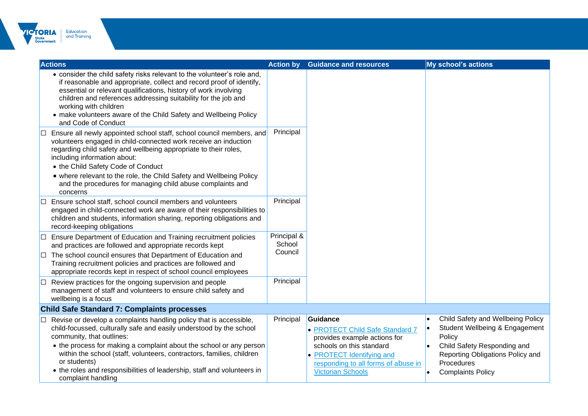

|    | <b>Actions</b>                                                                                                                                                                                                                                                                                                                                                                                                                          | <b>Action by</b>                 | <b>Guidance and resources</b>                                                                                                                                                                           |           | <b>My school's actions</b>                                                                                                                                                                 |
|----|-----------------------------------------------------------------------------------------------------------------------------------------------------------------------------------------------------------------------------------------------------------------------------------------------------------------------------------------------------------------------------------------------------------------------------------------|----------------------------------|---------------------------------------------------------------------------------------------------------------------------------------------------------------------------------------------------------|-----------|--------------------------------------------------------------------------------------------------------------------------------------------------------------------------------------------|
|    | • consider the child safety risks relevant to the volunteer's role and,<br>if reasonable and appropriate, collect and record proof of identify,<br>essential or relevant qualifications, history of work involving<br>children and references addressing suitability for the job and<br>working with children<br>• make volunteers aware of the Child Safety and Wellbeing Policy<br>and Code of Conduct                                |                                  |                                                                                                                                                                                                         |           |                                                                                                                                                                                            |
| IЦ | Ensure all newly appointed school staff, school council members, and<br>volunteers engaged in child-connected work receive an induction<br>regarding child safety and wellbeing appropriate to their roles,<br>including information about:<br>• the Child Safety Code of Conduct<br>• where relevant to the role, the Child Safety and Wellbeing Policy<br>and the procedures for managing child abuse complaints and<br>concerns      | Principal                        |                                                                                                                                                                                                         |           |                                                                                                                                                                                            |
|    | Ensure school staff, school council members and volunteers<br>engaged in child-connected work are aware of their responsibilities to<br>children and students, information sharing, reporting obligations and<br>record-keeping obligations                                                                                                                                                                                             | Principal                        |                                                                                                                                                                                                         |           |                                                                                                                                                                                            |
|    | $\Box$ Ensure Department of Education and Training recruitment policies<br>and practices are followed and appropriate records kept<br>$\Box$ The school council ensures that Department of Education and<br>Training recruitment policies and practices are followed and<br>appropriate records kept in respect of school council employees                                                                                             | Principal &<br>School<br>Council |                                                                                                                                                                                                         |           |                                                                                                                                                                                            |
|    | Review practices for the ongoing supervision and people<br>management of staff and volunteers to ensure child safety and<br>wellbeing is a focus                                                                                                                                                                                                                                                                                        | Principal                        |                                                                                                                                                                                                         |           |                                                                                                                                                                                            |
|    | <b>Child Safe Standard 7: Complaints processes</b>                                                                                                                                                                                                                                                                                                                                                                                      |                                  |                                                                                                                                                                                                         |           |                                                                                                                                                                                            |
|    | Revise or develop a complaints handling policy that is accessible,<br>child-focussed, culturally safe and easily understood by the school<br>community, that outlines:<br>• the process for making a complaint about the school or any person<br>within the school (staff, volunteers, contractors, families, children<br>or students)<br>• the roles and responsibilities of leadership, staff and volunteers in<br>complaint handling | Principal                        | Guidance<br>• PROTECT Child Safe Standard 7<br>provides example actions for<br>schools on this standard<br>• PROTECT Identifying and<br>responding to all forms of abuse in<br><b>Victorian Schools</b> | $\bullet$ | Child Safety and Wellbeing Policy<br>Student Wellbeing & Engagement<br>Policy<br>Child Safety Responding and<br>Reporting Obligations Policy and<br>Procedures<br><b>Complaints Policy</b> |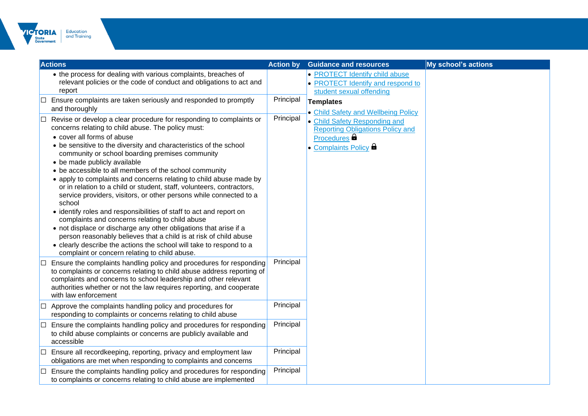

| <b>Actions</b>                                                                                                                                                                                                                                                                                                                                                                                                                                                                                                                                                                                                                                                                                                                                                                                                                                                                                                                                                                                             | <b>Action by</b> | <b>Guidance and resources</b>                                                                                                  | My school's actions |
|------------------------------------------------------------------------------------------------------------------------------------------------------------------------------------------------------------------------------------------------------------------------------------------------------------------------------------------------------------------------------------------------------------------------------------------------------------------------------------------------------------------------------------------------------------------------------------------------------------------------------------------------------------------------------------------------------------------------------------------------------------------------------------------------------------------------------------------------------------------------------------------------------------------------------------------------------------------------------------------------------------|------------------|--------------------------------------------------------------------------------------------------------------------------------|---------------------|
| • the process for dealing with various complaints, breaches of<br>relevant policies or the code of conduct and obligations to act and<br>report                                                                                                                                                                                                                                                                                                                                                                                                                                                                                                                                                                                                                                                                                                                                                                                                                                                            |                  | • PROTECT Identify child abuse<br>• PROTECT Identify and respond to<br>student sexual offending                                |                     |
| $\Box$ Ensure complaints are taken seriously and responded to promptly<br>and thoroughly                                                                                                                                                                                                                                                                                                                                                                                                                                                                                                                                                                                                                                                                                                                                                                                                                                                                                                                   | Principal        | <b>Templates</b><br>• Child Safety and Wellbeing Policy                                                                        |                     |
| Revise or develop a clear procedure for responding to complaints or<br>⊩⊡<br>concerns relating to child abuse. The policy must:<br>• cover all forms of abuse<br>• be sensitive to the diversity and characteristics of the school<br>community or school boarding premises community<br>• be made publicly available<br>• be accessible to all members of the school community<br>• apply to complaints and concerns relating to child abuse made by<br>or in relation to a child or student, staff, volunteers, contractors,<br>service providers, visitors, or other persons while connected to a<br>school<br>• identify roles and responsibilities of staff to act and report on<br>complaints and concerns relating to child abuse<br>• not displace or discharge any other obligations that arise if a<br>person reasonably believes that a child is at risk of child abuse<br>• clearly describe the actions the school will take to respond to a<br>complaint or concern relating to child abuse. | Principal        | • Child Safety Responding and<br><b>Reporting Obligations Policy and</b><br>Procedures <b>a</b><br>Complaints Policy <b>of</b> |                     |
| $\Box$ Ensure the complaints handling policy and procedures for responding<br>to complaints or concerns relating to child abuse address reporting of<br>complaints and concerns to school leadership and other relevant<br>authorities whether or not the law requires reporting, and cooperate<br>with law enforcement                                                                                                                                                                                                                                                                                                                                                                                                                                                                                                                                                                                                                                                                                    | Principal        |                                                                                                                                |                     |
| $\Box$ Approve the complaints handling policy and procedures for<br>responding to complaints or concerns relating to child abuse                                                                                                                                                                                                                                                                                                                                                                                                                                                                                                                                                                                                                                                                                                                                                                                                                                                                           | Principal        |                                                                                                                                |                     |
| Ensure the complaints handling policy and procedures for responding<br>╙<br>to child abuse complaints or concerns are publicly available and<br>accessible                                                                                                                                                                                                                                                                                                                                                                                                                                                                                                                                                                                                                                                                                                                                                                                                                                                 | Principal        |                                                                                                                                |                     |
| Ensure all recordkeeping, reporting, privacy and employment law<br>∐<br>obligations are met when responding to complaints and concerns                                                                                                                                                                                                                                                                                                                                                                                                                                                                                                                                                                                                                                                                                                                                                                                                                                                                     | Principal        |                                                                                                                                |                     |
| $\Box$ Ensure the complaints handling policy and procedures for responding<br>to complaints or concerns relating to child abuse are implemented                                                                                                                                                                                                                                                                                                                                                                                                                                                                                                                                                                                                                                                                                                                                                                                                                                                            | Principal        |                                                                                                                                |                     |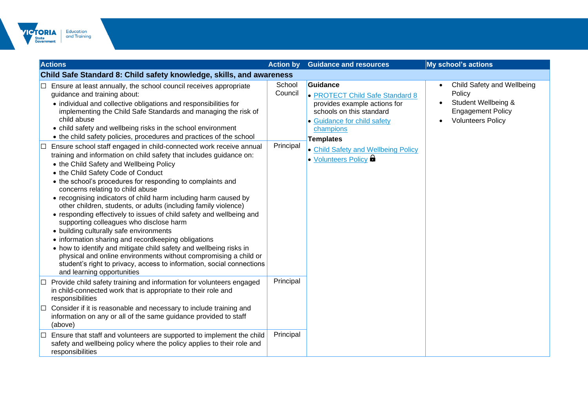

| <b>Actions</b>                                                                                                                                                                                                                                                                                                                                                                                                                                                                                                                                                                                                                                                                                                                                                                                                                                                     | <b>Action by</b>               | <b>Guidance and resources</b>                                                                                                                                                                                  | My school's actions                                                                                                 |
|--------------------------------------------------------------------------------------------------------------------------------------------------------------------------------------------------------------------------------------------------------------------------------------------------------------------------------------------------------------------------------------------------------------------------------------------------------------------------------------------------------------------------------------------------------------------------------------------------------------------------------------------------------------------------------------------------------------------------------------------------------------------------------------------------------------------------------------------------------------------|--------------------------------|----------------------------------------------------------------------------------------------------------------------------------------------------------------------------------------------------------------|---------------------------------------------------------------------------------------------------------------------|
| Child Safe Standard 8: Child safety knowledge, skills, and awareness                                                                                                                                                                                                                                                                                                                                                                                                                                                                                                                                                                                                                                                                                                                                                                                               |                                |                                                                                                                                                                                                                |                                                                                                                     |
| Ensure at least annually, the school council receives appropriate<br>guidance and training about:<br>• individual and collective obligations and responsibilities for<br>implementing the Child Safe Standards and managing the risk of<br>child abuse<br>• child safety and wellbeing risks in the school environment<br>• the child safety policies, procedures and practices of the school<br>Ensure school staff engaged in child-connected work receive annual<br>ш                                                                                                                                                                                                                                                                                                                                                                                           | School<br>Council<br>Principal | Guidance<br>• PROTECT Child Safe Standard 8<br>provides example actions for<br>schools on this standard<br>• Guidance for child safety<br>champions<br><b>Templates</b><br>• Child Safety and Wellbeing Policy | Child Safety and Wellbeing<br>Policy<br>Student Wellbeing &<br><b>Engagement Policy</b><br><b>Volunteers Policy</b> |
| training and information on child safety that includes guidance on:<br>• the Child Safety and Wellbeing Policy<br>• the Child Safety Code of Conduct<br>• the school's procedures for responding to complaints and<br>concerns relating to child abuse<br>• recognising indicators of child harm including harm caused by<br>other children, students, or adults (including family violence)<br>• responding effectively to issues of child safety and wellbeing and<br>supporting colleagues who disclose harm<br>• building culturally safe environments<br>• information sharing and recordkeeping obligations<br>• how to identify and mitigate child safety and wellbeing risks in<br>physical and online environments without compromising a child or<br>student's right to privacy, access to information, social connections<br>and learning opportunities |                                | • Volunteers Policy                                                                                                                                                                                            |                                                                                                                     |
| Provide child safety training and information for volunteers engaged<br>in child-connected work that is appropriate to their role and<br>responsibilities                                                                                                                                                                                                                                                                                                                                                                                                                                                                                                                                                                                                                                                                                                          | Principal                      |                                                                                                                                                                                                                |                                                                                                                     |
| Consider if it is reasonable and necessary to include training and<br>information on any or all of the same guidance provided to staff<br>(above)                                                                                                                                                                                                                                                                                                                                                                                                                                                                                                                                                                                                                                                                                                                  |                                |                                                                                                                                                                                                                |                                                                                                                     |
| Ensure that staff and volunteers are supported to implement the child<br>safety and wellbeing policy where the policy applies to their role and<br>responsibilities                                                                                                                                                                                                                                                                                                                                                                                                                                                                                                                                                                                                                                                                                                | Principal                      |                                                                                                                                                                                                                |                                                                                                                     |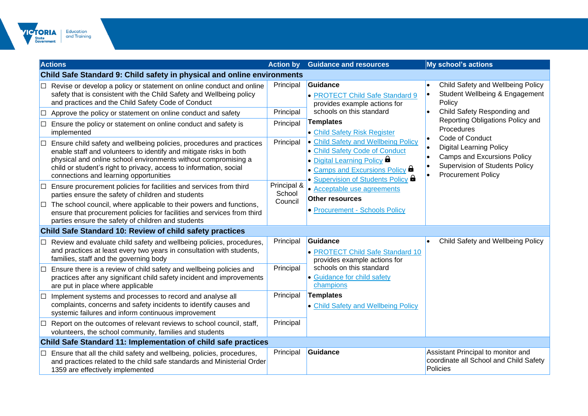

|   | <b>Actions</b>                                                                                                                                                                                                                                                                                                                              | <b>Action by</b>                    | <b>Guidance and resources</b>                                                                                                                                                                                             | <b>My school's actions</b>                                                                                                                                           |
|---|---------------------------------------------------------------------------------------------------------------------------------------------------------------------------------------------------------------------------------------------------------------------------------------------------------------------------------------------|-------------------------------------|---------------------------------------------------------------------------------------------------------------------------------------------------------------------------------------------------------------------------|----------------------------------------------------------------------------------------------------------------------------------------------------------------------|
|   | <b>Child Safe Standard 9: Child safety in physical and online environments</b>                                                                                                                                                                                                                                                              |                                     |                                                                                                                                                                                                                           |                                                                                                                                                                      |
|   | Revise or develop a policy or statement on online conduct and online<br>safety that is consistent with the Child Safety and Wellbeing policy<br>and practices and the Child Safety Code of Conduct<br>Approve the policy or statement on online conduct and safety<br>Ensure the policy or statement on online conduct and safety is        | Principal<br>Principal<br>Principal | Guidance<br>• PROTECT Child Safe Standard 9<br>provides example actions for<br>schools on this standard<br><b>Templates</b>                                                                                               | Child Safety and Wellbeing Policy<br>Student Wellbeing & Engagement<br>Policy<br>Child Safety Responding and<br>Reporting Obligations Policy and                     |
| ⊔ | implemented<br>Ensure child safety and wellbeing policies, procedures and practices<br>enable staff and volunteers to identify and mitigate risks in both<br>physical and online school environments without compromising a<br>child or student's right to privacy, access to information, social<br>connections and learning opportunities | Principal                           | • Child Safety Risk Register<br>• Child Safety and Wellbeing Policy<br>• Child Safety Code of Conduct<br>• Digital Learning Policy<br>• Camps and Excursions Policy <b>a</b><br>• Supervision of Students Policy <b>D</b> | Procedures<br>Code of Conduct<br><b>Digital Learning Policy</b><br>Camps and Excursions Policy<br><b>Supervision of Students Policy</b><br><b>Procurement Policy</b> |
|   | Ensure procurement policies for facilities and services from third<br>parties ensure the safety of children and students<br>$\Box$ The school council, where applicable to their powers and functions,<br>ensure that procurement policies for facilities and services from third<br>parties ensure the safety of children and students     | Principal &<br>School<br>Council    | • Acceptable use agreements<br><b>Other resources</b><br>• Procurement - Schools Policy                                                                                                                                   |                                                                                                                                                                      |
|   | Child Safe Standard 10: Review of child safety practices                                                                                                                                                                                                                                                                                    |                                     |                                                                                                                                                                                                                           |                                                                                                                                                                      |
|   | Review and evaluate child safety and wellbeing policies, procedures,<br>and practices at least every two years in consultation with students,<br>families, staff and the governing body                                                                                                                                                     | Principal                           | Guidance<br>• PROTECT Child Safe Standard 10<br>provides example actions for                                                                                                                                              | Child Safety and Wellbeing Policy                                                                                                                                    |
|   | Ensure there is a review of child safety and wellbeing policies and<br>practices after any significant child safety incident and improvements<br>are put in place where applicable                                                                                                                                                          | Principal                           | schools on this standard<br>• Guidance for child safety<br>champions                                                                                                                                                      |                                                                                                                                                                      |
|   | Implement systems and processes to record and analyse all<br>complaints, concerns and safety incidents to identify causes and<br>systemic failures and inform continuous improvement                                                                                                                                                        | Principal                           | <b>Templates</b><br>• Child Safety and Wellbeing Policy                                                                                                                                                                   |                                                                                                                                                                      |
|   | Report on the outcomes of relevant reviews to school council, staff,<br>volunteers, the school community, families and students                                                                                                                                                                                                             | Principal                           |                                                                                                                                                                                                                           |                                                                                                                                                                      |
|   | Child Safe Standard 11: Implementation of child safe practices                                                                                                                                                                                                                                                                              |                                     |                                                                                                                                                                                                                           |                                                                                                                                                                      |
|   | Ensure that all the child safety and wellbeing, policies, procedures,<br>and practices related to the child safe standards and Ministerial Order<br>1359 are effectively implemented                                                                                                                                                        | Principal                           | Guidance                                                                                                                                                                                                                  | Assistant Principal to monitor and<br>coordinate all School and Child Safety<br>Policies                                                                             |